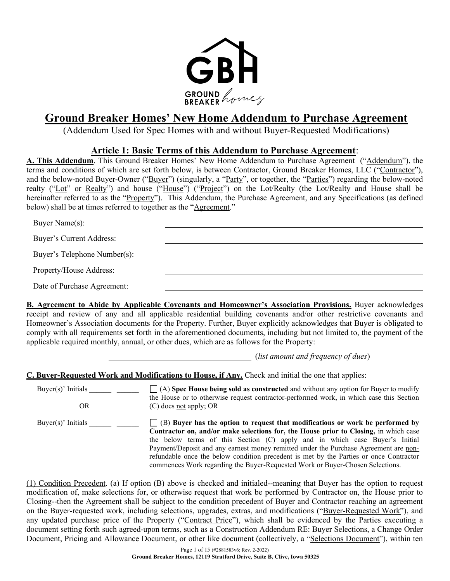

# Ground Breaker Homes' New Home Addendum to Purchase Agreement

(Addendum Used for Spec Homes with and without Buyer-Requested Modifications)

## Article 1: Basic Terms of this Addendum to Purchase Agreement:

A. This Addendum. This Ground Breaker Homes' New Home Addendum to Purchase Agreement ("Addendum"), the terms and conditions of which are set forth below, is between Contractor, Ground Breaker Homes, LLC ("Contractor"), and the below-noted Buyer-Owner ("Buyer") (singularly, a "Party", or together, the "Parties") regarding the below-noted realty ("Lot" or Realty") and house ("House") ("Project") on the Lot/Realty (the Lot/Realty and House shall be hereinafter referred to as the "Property"). This Addendum, the Purchase Agreement, and any Specifications (as defined below) shall be at times referred to together as the "Agreement."

| Buyer Name(s):               |  |
|------------------------------|--|
| Buyer's Current Address:     |  |
| Buyer's Telephone Number(s): |  |
| Property/House Address:      |  |
| Date of Purchase Agreement:  |  |
|                              |  |

B. Agreement to Abide by Applicable Covenants and Homeowner's Association Provisions. Buyer acknowledges receipt and review of any and all applicable residential building covenants and/or other restrictive covenants and Homeowner's Association documents for the Property. Further, Buyer explicitly acknowledges that Buyer is obligated to comply with all requirements set forth in the aforementioned documents, including but not limited to, the payment of the applicable required monthly, annual, or other dues, which are as follows for the Property:

(list amount and frequency of dues)

C. Buyer-Requested Work and Modifications to House, if Any. Check and initial the one that applies:

Buyer(s)' Initials OR  $\bigcap$  (A) Spec House being sold as constructed and without any option for Buyer to modify the House or to otherwise request contractor-performed work, in which case this Section (C) does not apply; OR Buyer(s)' Initials  $\Box$   $\Box$  (B) Buyer has the option to request that modifications or work be performed by Contractor on, and/or make selections for, the House prior to Closing, in which case the below terms of this Section (C) apply and in which case Buyer's Initial Payment/Deposit and any earnest money remitted under the Purchase Agreement are nonrefundable once the below condition precedent is met by the Parties or once Contractor commences Work regarding the Buyer-Requested Work or Buyer-Chosen Selections.

(1) Condition Precedent. (a) If option (B) above is checked and initialed--meaning that Buyer has the option to request modification of, make selections for, or otherwise request that work be performed by Contractor on, the House prior to Closing--then the Agreement shall be subject to the condition precedent of Buyer and Contractor reaching an agreement on the Buyer-requested work, including selections, upgrades, extras, and modifications ("Buyer-Requested Work"), and any updated purchase price of the Property ("Contract Price"), which shall be evidenced by the Parties executing a document setting forth such agreed-upon terms, such as a Construction Addendum RE: Buyer Selections, a Change Order Document, Pricing and Allowance Document, or other like document (collectively, a "Selections Document"), within ten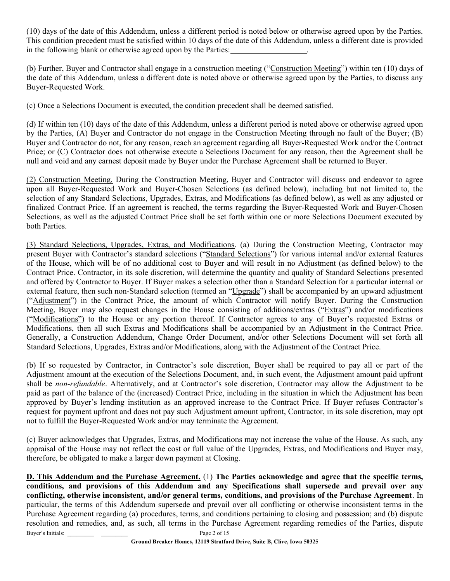(10) days of the date of this Addendum, unless a different period is noted below or otherwise agreed upon by the Parties. This condition precedent must be satisfied within 10 days of the date of this Addendum, unless a different date is provided in the following blank or otherwise agreed upon by the Parties:

(b) Further, Buyer and Contractor shall engage in a construction meeting ("Construction Meeting") within ten (10) days of the date of this Addendum, unless a different date is noted above or otherwise agreed upon by the Parties, to discuss any Buyer-Requested Work.

(c) Once a Selections Document is executed, the condition precedent shall be deemed satisfied.

(d) If within ten (10) days of the date of this Addendum, unless a different period is noted above or otherwise agreed upon by the Parties, (A) Buyer and Contractor do not engage in the Construction Meeting through no fault of the Buyer; (B) Buyer and Contractor do not, for any reason, reach an agreement regarding all Buyer-Requested Work and/or the Contract Price; or (C) Contractor does not otherwise execute a Selections Document for any reason, then the Agreement shall be null and void and any earnest deposit made by Buyer under the Purchase Agreement shall be returned to Buyer.

(2) Construction Meeting. During the Construction Meeting, Buyer and Contractor will discuss and endeavor to agree upon all Buyer-Requested Work and Buyer-Chosen Selections (as defined below), including but not limited to, the selection of any Standard Selections, Upgrades, Extras, and Modifications (as defined below), as well as any adjusted or finalized Contract Price. If an agreement is reached, the terms regarding the Buyer-Requested Work and Buyer-Chosen Selections, as well as the adjusted Contract Price shall be set forth within one or more Selections Document executed by both Parties.

(3) Standard Selections, Upgrades, Extras, and Modifications. (a) During the Construction Meeting, Contractor may present Buyer with Contractor's standard selections ("Standard Selections") for various internal and/or external features of the House, which will be of no additional cost to Buyer and will result in no Adjustment (as defined below) to the Contract Price. Contractor, in its sole discretion, will determine the quantity and quality of Standard Selections presented and offered by Contractor to Buyer. If Buyer makes a selection other than a Standard Selection for a particular internal or external feature, then such non-Standard selection (termed an "Upgrade") shall be accompanied by an upward adjustment ("Adjustment") in the Contract Price, the amount of which Contractor will notify Buyer. During the Construction Meeting, Buyer may also request changes in the House consisting of additions/extras ("Extras") and/or modifications ("Modifications") to the House or any portion thereof. If Contractor agrees to any of Buyer's requested Extras or Modifications, then all such Extras and Modifications shall be accompanied by an Adjustment in the Contract Price. Generally, a Construction Addendum, Change Order Document, and/or other Selections Document will set forth all Standard Selections, Upgrades, Extras and/or Modifications, along with the Adjustment of the Contract Price.

(b) If so requested by Contractor, in Contractor's sole discretion, Buyer shall be required to pay all or part of the Adjustment amount at the execution of the Selections Document, and, in such event, the Adjustment amount paid upfront shall be non-refundable. Alternatively, and at Contractor's sole discretion, Contractor may allow the Adjustment to be paid as part of the balance of the (increased) Contract Price, including in the situation in which the Adjustment has been approved by Buyer's lending institution as an approved increase to the Contract Price. If Buyer refuses Contractor's request for payment upfront and does not pay such Adjustment amount upfront, Contractor, in its sole discretion, may opt not to fulfill the Buyer-Requested Work and/or may terminate the Agreement.

(c) Buyer acknowledges that Upgrades, Extras, and Modifications may not increase the value of the House. As such, any appraisal of the House may not reflect the cost or full value of the Upgrades, Extras, and Modifications and Buyer may, therefore, be obligated to make a larger down payment at Closing.

Buyer's Initials: Page 2 of 15 D. This Addendum and the Purchase Agreement. (1) The Parties acknowledge and agree that the specific terms, conditions, and provisions of this Addendum and any Specifications shall supersede and prevail over any conflicting, otherwise inconsistent, and/or general terms, conditions, and provisions of the Purchase Agreement. In particular, the terms of this Addendum supersede and prevail over all conflicting or otherwise inconsistent terms in the Purchase Agreement regarding (a) procedures, terms, and conditions pertaining to closing and possession; and (b) dispute resolution and remedies, and, as such, all terms in the Purchase Agreement regarding remedies of the Parties, dispute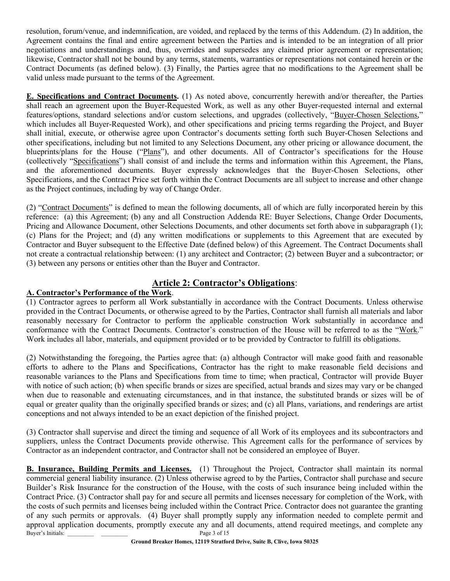resolution, forum/venue, and indemnification, are voided, and replaced by the terms of this Addendum. (2) In addition, the Agreement contains the final and entire agreement between the Parties and is intended to be an integration of all prior negotiations and understandings and, thus, overrides and supersedes any claimed prior agreement or representation; likewise, Contractor shall not be bound by any terms, statements, warranties or representations not contained herein or the Contract Documents (as defined below). (3) Finally, the Parties agree that no modifications to the Agreement shall be valid unless made pursuant to the terms of the Agreement.

E. Specifications and Contract Documents. (1) As noted above, concurrently herewith and/or thereafter, the Parties shall reach an agreement upon the Buyer-Requested Work, as well as any other Buyer-requested internal and external features/options, standard selections and/or custom selections, and upgrades (collectively, "Buyer-Chosen Selections," which includes all Buyer-Requested Work), and other specifications and pricing terms regarding the Project, and Buyer shall initial, execute, or otherwise agree upon Contractor's documents setting forth such Buyer-Chosen Selections and other specifications, including but not limited to any Selections Document, any other pricing or allowance document, the blueprints/plans for the House ("Plans"), and other documents. All of Contractor's specifications for the House (collectively "Specifications") shall consist of and include the terms and information within this Agreement, the Plans, and the aforementioned documents. Buyer expressly acknowledges that the Buyer-Chosen Selections, other Specifications, and the Contract Price set forth within the Contract Documents are all subject to increase and other change as the Project continues, including by way of Change Order.

(2) "Contract Documents" is defined to mean the following documents, all of which are fully incorporated herein by this reference: (a) this Agreement; (b) any and all Construction Addenda RE: Buyer Selections, Change Order Documents, Pricing and Allowance Document, other Selections Documents, and other documents set forth above in subparagraph (1); (c) Plans for the Project; and (d) any written modifications or supplements to this Agreement that are executed by Contractor and Buyer subsequent to the Effective Date (defined below) of this Agreement. The Contract Documents shall not create a contractual relationship between: (1) any architect and Contractor; (2) between Buyer and a subcontractor; or (3) between any persons or entities other than the Buyer and Contractor.

# Article 2: Contractor's Obligations:

## A. Contractor's Performance of the Work.

(1) Contractor agrees to perform all Work substantially in accordance with the Contract Documents. Unless otherwise provided in the Contract Documents, or otherwise agreed to by the Parties, Contractor shall furnish all materials and labor reasonably necessary for Contractor to perform the applicable construction Work substantially in accordance and conformance with the Contract Documents. Contractor's construction of the House will be referred to as the "Work." Work includes all labor, materials, and equipment provided or to be provided by Contractor to fulfill its obligations.

(2) Notwithstanding the foregoing, the Parties agree that: (a) although Contractor will make good faith and reasonable efforts to adhere to the Plans and Specifications, Contractor has the right to make reasonable field decisions and reasonable variances to the Plans and Specifications from time to time; when practical, Contractor will provide Buyer with notice of such action; (b) when specific brands or sizes are specified, actual brands and sizes may vary or be changed when due to reasonable and extenuating circumstances, and in that instance, the substituted brands or sizes will be of equal or greater quality than the originally specified brands or sizes; and (c) all Plans, variations, and renderings are artist conceptions and not always intended to be an exact depiction of the finished project.

(3) Contractor shall supervise and direct the timing and sequence of all Work of its employees and its subcontractors and suppliers, unless the Contract Documents provide otherwise. This Agreement calls for the performance of services by Contractor as an independent contractor, and Contractor shall not be considered an employee of Buyer.

Buyer's Initials: Page 3 of 15 B. Insurance, Building Permits and Licenses. (1) Throughout the Project, Contractor shall maintain its normal commercial general liability insurance. (2) Unless otherwise agreed to by the Parties, Contractor shall purchase and secure Builder's Risk Insurance for the construction of the House, with the costs of such insurance being included within the Contract Price. (3) Contractor shall pay for and secure all permits and licenses necessary for completion of the Work, with the costs of such permits and licenses being included within the Contract Price. Contractor does not guarantee the granting of any such permits or approvals. (4) Buyer shall promptly supply any information needed to complete permit and approval application documents, promptly execute any and all documents, attend required meetings, and complete any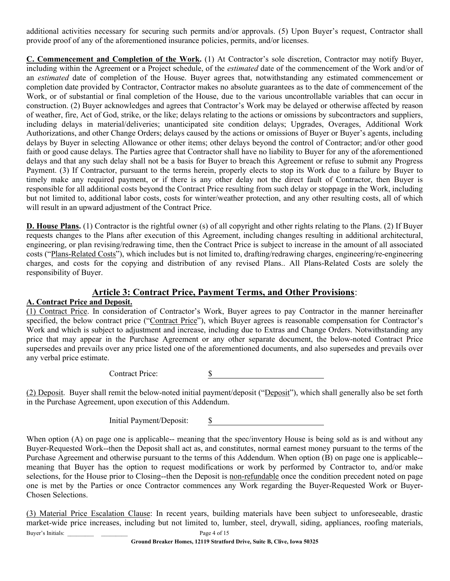additional activities necessary for securing such permits and/or approvals. (5) Upon Buyer's request, Contractor shall provide proof of any of the aforementioned insurance policies, permits, and/or licenses.

C. Commencement and Completion of the Work. (1) At Contractor's sole discretion, Contractor may notify Buyer, including within the Agreement or a Project schedule, of the *estimated* date of the commencement of the Work and/or of an estimated date of completion of the House. Buyer agrees that, notwithstanding any estimated commencement or completion date provided by Contractor, Contractor makes no absolute guarantees as to the date of commencement of the Work, or of substantial or final completion of the House, due to the various uncontrollable variables that can occur in construction. (2) Buyer acknowledges and agrees that Contractor's Work may be delayed or otherwise affected by reason of weather, fire, Act of God, strike, or the like; delays relating to the actions or omissions by subcontractors and suppliers, including delays in material/deliveries; unanticipated site condition delays; Upgrades, Overages, Additional Work Authorizations, and other Change Orders; delays caused by the actions or omissions of Buyer or Buyer's agents, including delays by Buyer in selecting Allowance or other items; other delays beyond the control of Contractor; and/or other good faith or good cause delays. The Parties agree that Contractor shall have no liability to Buyer for any of the aforementioned delays and that any such delay shall not be a basis for Buyer to breach this Agreement or refuse to submit any Progress Payment. (3) If Contractor, pursuant to the terms herein, properly elects to stop its Work due to a failure by Buyer to timely make any required payment, or if there is any other delay not the direct fault of Contractor, then Buyer is responsible for all additional costs beyond the Contract Price resulting from such delay or stoppage in the Work, including but not limited to, additional labor costs, costs for winter/weather protection, and any other resulting costs, all of which will result in an upward adjustment of the Contract Price.

D. House Plans. (1) Contractor is the rightful owner (s) of all copyright and other rights relating to the Plans. (2) If Buyer requests changes to the Plans after execution of this Agreement, including changes resulting in additional architectural, engineering, or plan revising/redrawing time, then the Contract Price is subject to increase in the amount of all associated costs ("Plans-Related Costs"), which includes but is not limited to, drafting/redrawing charges, engineering/re-engineering charges, and costs for the copying and distribution of any revised Plans.. All Plans-Related Costs are solely the responsibility of Buyer.

# Article 3: Contract Price, Payment Terms, and Other Provisions:

#### A. Contract Price and Deposit.

(1) Contract Price. In consideration of Contractor's Work, Buyer agrees to pay Contractor in the manner hereinafter specified, the below contract price ("Contract Price"), which Buyer agrees is reasonable compensation for Contractor's Work and which is subject to adjustment and increase, including due to Extras and Change Orders. Notwithstanding any price that may appear in the Purchase Agreement or any other separate document, the below-noted Contract Price supersedes and prevails over any price listed one of the aforementioned documents, and also supersedes and prevails over any verbal price estimate.

Contract Price: \$

(2) Deposit. Buyer shall remit the below-noted initial payment/deposit ("Deposit"), which shall generally also be set forth in the Purchase Agreement, upon execution of this Addendum.

Initial Payment/Deposit: \$

When option (A) on page one is applicable-- meaning that the spec/inventory House is being sold as is and without any Buyer-Requested Work--then the Deposit shall act as, and constitutes, normal earnest money pursuant to the terms of the Purchase Agreement and otherwise pursuant to the terms of this Addendum. When option (B) on page one is applicable- meaning that Buyer has the option to request modifications or work by performed by Contractor to, and/or make selections, for the House prior to Closing--then the Deposit is non-refundable once the condition precedent noted on page one is met by the Parties or once Contractor commences any Work regarding the Buyer-Requested Work or Buyer-Chosen Selections.

Buyer's Initials: Page 4 of 15 (3) Material Price Escalation Clause: In recent years, building materials have been subject to unforeseeable, drastic market-wide price increases, including but not limited to, lumber, steel, drywall, siding, appliances, roofing materials,

Ground Breaker Homes, 12119 Stratford Drive, Suite B, Clive, Iowa 50325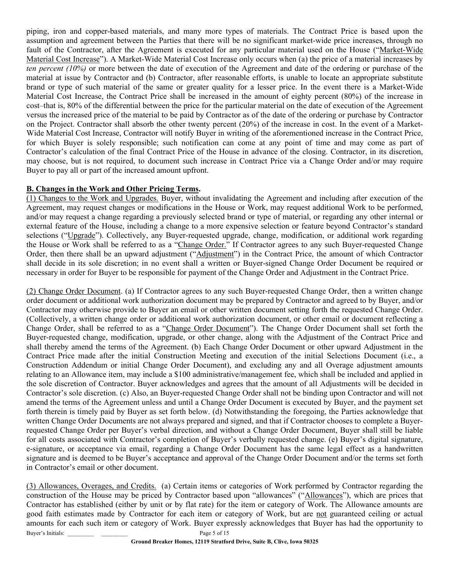piping, iron and copper-based materials, and many more types of materials. The Contract Price is based upon the assumption and agreement between the Parties that there will be no significant market-wide price increases, through no fault of the Contractor, after the Agreement is executed for any particular material used on the House ("Market-Wide Material Cost Increase"). A Market-Wide Material Cost Increase only occurs when (a) the price of a material increases by ten percent (10%) or more between the date of execution of the Agreement and date of the ordering or purchase of the material at issue by Contractor and (b) Contractor, after reasonable efforts, is unable to locate an appropriate substitute brand or type of such material of the same or greater quality for a lesser price. In the event there is a Market-Wide Material Cost Increase, the Contract Price shall be increased in the amount of eighty percent (80%) of the increase in cost–that is, 80% of the differential between the price for the particular material on the date of execution of the Agreement versus the increased price of the material to be paid by Contractor as of the date of the ordering or purchase by Contractor on the Project. Contractor shall absorb the other twenty percent (20%) of the increase in cost. In the event of a Market-Wide Material Cost Increase, Contractor will notify Buyer in writing of the aforementioned increase in the Contract Price, for which Buyer is solely responsible; such notification can come at any point of time and may come as part of Contractor's calculation of the final Contract Price of the House in advance of the closing. Contractor, in its discretion, may choose, but is not required, to document such increase in Contract Price via a Change Order and/or may require Buyer to pay all or part of the increased amount upfront.

### B. Changes in the Work and Other Pricing Terms.

(1) Changes to the Work and Upgrades. Buyer, without invalidating the Agreement and including after execution of the Agreement, may request changes or modifications in the House or Work, may request additional Work to be performed, and/or may request a change regarding a previously selected brand or type of material, or regarding any other internal or external feature of the House, including a change to a more expensive selection or feature beyond Contractor's standard selections ("Upgrade"). Collectively, any Buyer-requested upgrade, change, modification, or additional work regarding the House or Work shall be referred to as a "Change Order." If Contractor agrees to any such Buyer-requested Change Order, then there shall be an upward adjustment ("Adjustment") in the Contract Price, the amount of which Contractor shall decide in its sole discretion; in no event shall a written or Buyer-signed Change Order Document be required or necessary in order for Buyer to be responsible for payment of the Change Order and Adjustment in the Contract Price.

(2) Change Order Document. (a) If Contractor agrees to any such Buyer-requested Change Order, then a written change order document or additional work authorization document may be prepared by Contractor and agreed to by Buyer, and/or Contractor may otherwise provide to Buyer an email or other written document setting forth the requested Change Order. (Collectively, a written change order or additional work authorization document, or other email or document reflecting a Change Order, shall be referred to as a "Change Order Document"). The Change Order Document shall set forth the Buyer-requested change, modification, upgrade, or other change, along with the Adjustment of the Contract Price and shall thereby amend the terms of the Agreement. (b) Each Change Order Document or other upward Adjustment in the Contract Price made after the initial Construction Meeting and execution of the initial Selections Document (i.e., a Construction Addendum or initial Change Order Document), and excluding any and all Overage adjustment amounts relating to an Allowance item, may include a \$100 administrative/management fee, which shall be included and applied in the sole discretion of Contractor. Buyer acknowledges and agrees that the amount of all Adjustments will be decided in Contractor's sole discretion. (c) Also, an Buyer-requested Change Order shall not be binding upon Contractor and will not amend the terms of the Agreement unless and until a Change Order Document is executed by Buyer, and the payment set forth therein is timely paid by Buyer as set forth below. (d) Notwithstanding the foregoing, the Parties acknowledge that written Change Order Documents are not always prepared and signed, and that if Contractor chooses to complete a Buyerrequested Change Order per Buyer's verbal direction, and without a Change Order Document, Buyer shall still be liable for all costs associated with Contractor's completion of Buyer's verbally requested change. (e) Buyer's digital signature, e-signature, or acceptance via email, regarding a Change Order Document has the same legal effect as a handwritten signature and is deemed to be Buyer's acceptance and approval of the Change Order Document and/or the terms set forth in Contractor's email or other document.

Buyer's Initials: Page 5 of 15 (3) Allowances, Overages, and Credits. (a) Certain items or categories of Work performed by Contractor regarding the construction of the House may be priced by Contractor based upon "allowances" ("Allowances"), which are prices that Contractor has established (either by unit or by flat rate) for the item or category of Work. The Allowance amounts are good faith estimates made by Contractor for each item or category of Work, but are not guaranteed ceiling or actual amounts for each such item or category of Work. Buyer expressly acknowledges that Buyer has had the opportunity to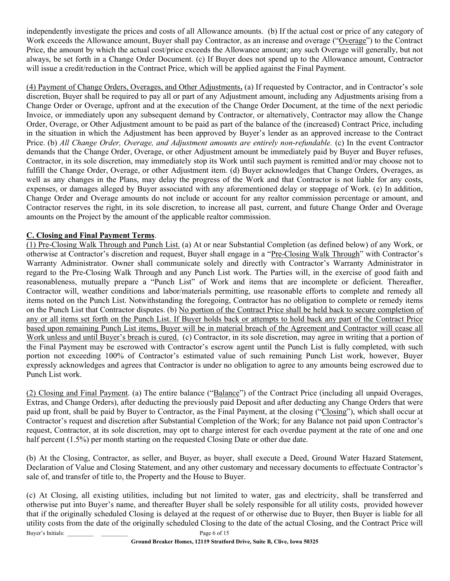independently investigate the prices and costs of all Allowance amounts. (b) If the actual cost or price of any category of Work exceeds the Allowance amount, Buyer shall pay Contractor, as an increase and overage ("Overage") to the Contract Price, the amount by which the actual cost/price exceeds the Allowance amount; any such Overage will generally, but not always, be set forth in a Change Order Document. (c) If Buyer does not spend up to the Allowance amount, Contractor will issue a credit/reduction in the Contract Price, which will be applied against the Final Payment.

(4) Payment of Change Orders, Overages, and Other Adjustments. (a) If requested by Contractor, and in Contractor's sole discretion, Buyer shall be required to pay all or part of any Adjustment amount, including any Adjustments arising from a Change Order or Overage, upfront and at the execution of the Change Order Document, at the time of the next periodic Invoice, or immediately upon any subsequent demand by Contractor, or alternatively, Contractor may allow the Change Order, Overage, or Other Adjustment amount to be paid as part of the balance of the (increased) Contract Price, including in the situation in which the Adjustment has been approved by Buyer's lender as an approved increase to the Contract Price. (b) All Change Order, Overage, and Adjustment amounts are entirely non-refundable. (c) In the event Contractor demands that the Change Order, Overage, or other Adjustment amount be immediately paid by Buyer and Buyer refuses, Contractor, in its sole discretion, may immediately stop its Work until such payment is remitted and/or may choose not to fulfill the Change Order, Overage, or other Adjustment item. (d) Buyer acknowledges that Change Orders, Overages, as well as any changes in the Plans, may delay the progress of the Work and that Contractor is not liable for any costs, expenses, or damages alleged by Buyer associated with any aforementioned delay or stoppage of Work. (e) In addition, Change Order and Overage amounts do not include or account for any realtor commission percentage or amount, and Contractor reserves the right, in its sole discretion, to increase all past, current, and future Change Order and Overage amounts on the Project by the amount of the applicable realtor commission.

### C. Closing and Final Payment Terms.

(1) Pre-Closing Walk Through and Punch List. (a) At or near Substantial Completion (as defined below) of any Work, or otherwise at Contractor's discretion and request, Buyer shall engage in a "Pre-Closing Walk Through" with Contractor's Warranty Administrator. Owner shall communicate solely and directly with Contractor's Warranty Administrator in regard to the Pre-Closing Walk Through and any Punch List work. The Parties will, in the exercise of good faith and reasonableness, mutually prepare a "Punch List" of Work and items that are incomplete or deficient. Thereafter, Contractor will, weather conditions and labor/materials permitting, use reasonable efforts to complete and remedy all items noted on the Punch List. Notwithstanding the foregoing, Contractor has no obligation to complete or remedy items on the Punch List that Contractor disputes. (b) No portion of the Contract Price shall be held back to secure completion of any or all items set forth on the Punch List. If Buyer holds back or attempts to hold back any part of the Contract Price based upon remaining Punch List items, Buyer will be in material breach of the Agreement and Contractor will cease all Work unless and until Buyer's breach is cured. (c) Contractor, in its sole discretion, may agree in writing that a portion of the Final Payment may be escrowed with Contractor's escrow agent until the Punch List is fully completed, with such portion not exceeding 100% of Contractor's estimated value of such remaining Punch List work, however, Buyer expressly acknowledges and agrees that Contractor is under no obligation to agree to any amounts being escrowed due to Punch List work.

(2) Closing and Final Payment. (a) The entire balance ("Balance") of the Contract Price (including all unpaid Overages, Extras, and Change Orders), after deducting the previously paid Deposit and after deducting any Change Orders that were paid up front, shall be paid by Buyer to Contractor, as the Final Payment, at the closing ("Closing"), which shall occur at Contractor's request and discretion after Substantial Completion of the Work; for any Balance not paid upon Contractor's request, Contractor, at its sole discretion, may opt to charge interest for each overdue payment at the rate of one and one half percent (1.5%) per month starting on the requested Closing Date or other due date.

(b) At the Closing, Contractor, as seller, and Buyer, as buyer, shall execute a Deed, Ground Water Hazard Statement, Declaration of Value and Closing Statement, and any other customary and necessary documents to effectuate Contractor's sale of, and transfer of title to, the Property and the House to Buyer.

Buyer's Initials: Page 6 of 15 (c) At Closing, all existing utilities, including but not limited to water, gas and electricity, shall be transferred and otherwise put into Buyer's name, and thereafter Buyer shall be solely responsible for all utility costs, provided however that if the originally scheduled Closing is delayed at the request of or otherwise due to Buyer, then Buyer is liable for all utility costs from the date of the originally scheduled Closing to the date of the actual Closing, and the Contract Price will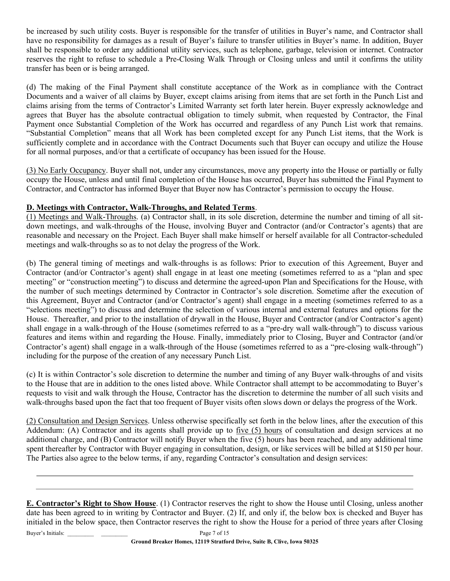be increased by such utility costs. Buyer is responsible for the transfer of utilities in Buyer's name, and Contractor shall have no responsibility for damages as a result of Buyer's failure to transfer utilities in Buyer's name. In addition, Buyer shall be responsible to order any additional utility services, such as telephone, garbage, television or internet. Contractor reserves the right to refuse to schedule a Pre-Closing Walk Through or Closing unless and until it confirms the utility transfer has been or is being arranged.

(d) The making of the Final Payment shall constitute acceptance of the Work as in compliance with the Contract Documents and a waiver of all claims by Buyer, except claims arising from items that are set forth in the Punch List and claims arising from the terms of Contractor's Limited Warranty set forth later herein. Buyer expressly acknowledge and agrees that Buyer has the absolute contractual obligation to timely submit, when requested by Contractor, the Final Payment once Substantial Completion of the Work has occurred and regardless of any Punch List work that remains. "Substantial Completion" means that all Work has been completed except for any Punch List items, that the Work is sufficiently complete and in accordance with the Contract Documents such that Buyer can occupy and utilize the House for all normal purposes, and/or that a certificate of occupancy has been issued for the House.

(3) No Early Occupancy. Buyer shall not, under any circumstances, move any property into the House or partially or fully occupy the House, unless and until final completion of the House has occurred, Buyer has submitted the Final Payment to Contractor, and Contractor has informed Buyer that Buyer now has Contractor's permission to occupy the House.

## D. Meetings with Contractor, Walk-Throughs, and Related Terms.

(1) Meetings and Walk-Throughs. (a) Contractor shall, in its sole discretion, determine the number and timing of all sitdown meetings, and walk-throughs of the House, involving Buyer and Contractor (and/or Contractor's agents) that are reasonable and necessary on the Project. Each Buyer shall make himself or herself available for all Contractor-scheduled meetings and walk-throughs so as to not delay the progress of the Work.

(b) The general timing of meetings and walk-throughs is as follows: Prior to execution of this Agreement, Buyer and Contractor (and/or Contractor's agent) shall engage in at least one meeting (sometimes referred to as a "plan and spec meeting" or "construction meeting") to discuss and determine the agreed-upon Plan and Specifications for the House, with the number of such meetings determined by Contractor in Contractor's sole discretion. Sometime after the execution of this Agreement, Buyer and Contractor (and/or Contractor's agent) shall engage in a meeting (sometimes referred to as a "selections meeting") to discuss and determine the selection of various internal and external features and options for the House. Thereafter, and prior to the installation of drywall in the House, Buyer and Contractor (and/or Contractor's agent) shall engage in a walk-through of the House (sometimes referred to as a "pre-dry wall walk-through") to discuss various features and items within and regarding the House. Finally, immediately prior to Closing, Buyer and Contractor (and/or Contractor's agent) shall engage in a walk-through of the House (sometimes referred to as a "pre-closing walk-through") including for the purpose of the creation of any necessary Punch List.

(c) It is within Contractor's sole discretion to determine the number and timing of any Buyer walk-throughs of and visits to the House that are in addition to the ones listed above. While Contractor shall attempt to be accommodating to Buyer's requests to visit and walk through the House, Contractor has the discretion to determine the number of all such visits and walk-throughs based upon the fact that too frequent of Buyer visits often slows down or delays the progress of the Work.

(2) Consultation and Design Services. Unless otherwise specifically set forth in the below lines, after the execution of this Addendum: (A) Contractor and its agents shall provide up to five (5) hours of consultation and design services at no additional charge, and (B) Contractor will notify Buyer when the five (5) hours has been reached, and any additional time spent thereafter by Contractor with Buyer engaging in consultation, design, or like services will be billed at \$150 per hour. The Parties also agree to the below terms, if any, regarding Contractor's consultation and design services:

Buyer's Initials: Page 7 of 15 E. Contractor's Right to Show House. (1) Contractor reserves the right to show the House until Closing, unless another date has been agreed to in writing by Contractor and Buyer. (2) If, and only if, the below box is checked and Buyer has initialed in the below space, then Contractor reserves the right to show the House for a period of three years after Closing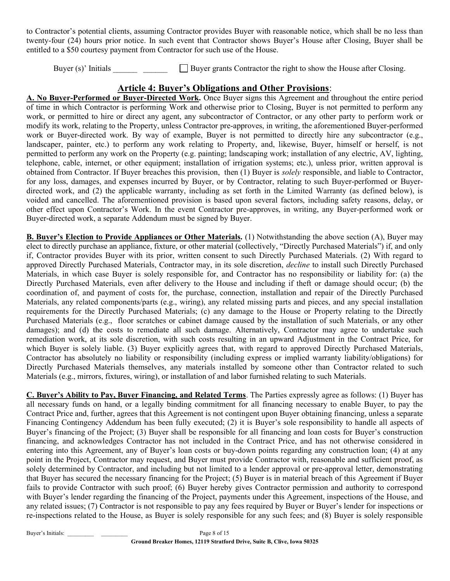to Contractor's potential clients, assuming Contractor provides Buyer with reasonable notice, which shall be no less than twenty-four (24) hours prior notice. In such event that Contractor shows Buyer's House after Closing, Buyer shall be entitled to a \$50 courtesy payment from Contractor for such use of the House.

Buyer (s)' Initials  $\Box$  Buyer grants Contractor the right to show the House after Closing.

## Article 4: Buyer's Obligations and Other Provisions:

A. No Buyer-Performed or Buyer-Directed Work. Once Buyer signs this Agreement and throughout the entire period of time in which Contractor is performing Work and otherwise prior to Closing, Buyer is not permitted to perform any work, or permitted to hire or direct any agent, any subcontractor of Contractor, or any other party to perform work or modify its work, relating to the Property, unless Contractor pre-approves, in writing, the aforementioned Buyer-performed work or Buyer-directed work. By way of example, Buyer is not permitted to directly hire any subcontractor (e.g., landscaper, painter, etc.) to perform any work relating to Property, and, likewise, Buyer, himself or herself, is not permitted to perform any work on the Property (e.g. painting; landscaping work; installation of any electric, AV, lighting, telephone, cable, internet, or other equipment; installation of irrigation systems; etc.), unless prior, written approval is obtained from Contractor. If Buyer breaches this provision, then (1) Buyer is solely responsible, and liable to Contractor, for any loss, damages, and expenses incurred by Buyer, or by Contractor, relating to such Buyer-performed or Buyerdirected work, and (2) the applicable warranty, including as set forth in the Limited Warranty (as defined below), is voided and cancelled. The aforementioned provision is based upon several factors, including safety reasons, delay, or other effect upon Contractor's Work. In the event Contractor pre-approves, in writing, any Buyer-performed work or Buyer-directed work, a separate Addendum must be signed by Buyer.

B. Buyer's Election to Provide Appliances or Other Materials. (1) Notwithstanding the above section (A), Buyer may elect to directly purchase an appliance, fixture, or other material (collectively, "Directly Purchased Materials") if, and only if, Contractor provides Buyer with its prior, written consent to such Directly Purchased Materials. (2) With regard to approved Directly Purchased Materials, Contractor may, in its sole discretion, *decline* to install such Directly Purchased Materials, in which case Buyer is solely responsible for, and Contractor has no responsibility or liability for: (a) the Directly Purchased Materials, even after delivery to the House and including if theft or damage should occur; (b) the coordination of, and payment of costs for, the purchase, connection, installation and repair of the Directly Purchased Materials, any related components/parts (e.g., wiring), any related missing parts and pieces, and any special installation requirements for the Directly Purchased Materials; (c) any damage to the House or Property relating to the Directly Purchased Materials (e.g., floor scratches or cabinet damage caused by the installation of such Materials, or any other damages); and (d) the costs to remediate all such damage. Alternatively, Contractor may agree to undertake such remediation work, at its sole discretion, with such costs resulting in an upward Adjustment in the Contract Price, for which Buyer is solely liable. (3) Buyer explicitly agrees that, with regard to approved Directly Purchased Materials, Contractor has absolutely no liability or responsibility (including express or implied warranty liability/obligations) for Directly Purchased Materials themselves, any materials installed by someone other than Contractor related to such Materials (e.g., mirrors, fixtures, wiring), or installation of and labor furnished relating to such Materials.

C. Buyer's Ability to Pay, Buyer Financing, and Related Terms. The Parties expressly agree as follows: (1) Buyer has all necessary funds on hand, or a legally binding commitment for all financing necessary to enable Buyer, to pay the Contract Price and, further, agrees that this Agreement is not contingent upon Buyer obtaining financing, unless a separate Financing Contingency Addendum has been fully executed; (2) it is Buyer's sole responsibility to handle all aspects of Buyer's financing of the Project; (3) Buyer shall be responsible for all financing and loan costs for Buyer's construction financing, and acknowledges Contractor has not included in the Contract Price, and has not otherwise considered in entering into this Agreement, any of Buyer's loan costs or buy-down points regarding any construction loan; (4) at any point in the Project, Contractor may request, and Buyer must provide Contractor with, reasonable and sufficient proof, as solely determined by Contractor, and including but not limited to a lender approval or pre-approval letter, demonstrating that Buyer has secured the necessary financing for the Project; (5) Buyer is in material breach of this Agreement if Buyer fails to provide Contractor with such proof; (6) Buyer hereby gives Contractor permission and authority to correspond with Buyer's lender regarding the financing of the Project, payments under this Agreement, inspections of the House, and any related issues; (7) Contractor is not responsible to pay any fees required by Buyer or Buyer's lender for inspections or re-inspections related to the House, as Buyer is solely responsible for any such fees; and (8) Buyer is solely responsible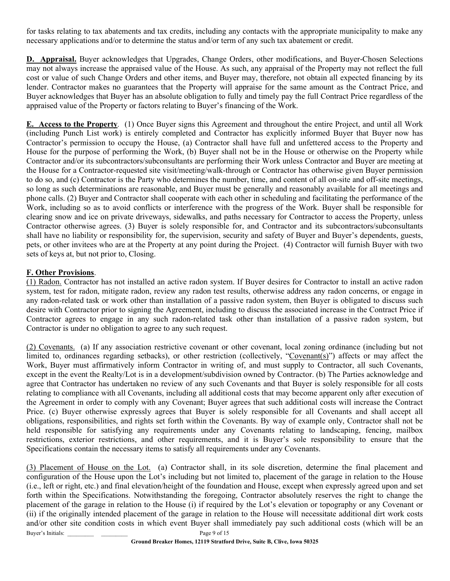for tasks relating to tax abatements and tax credits, including any contacts with the appropriate municipality to make any necessary applications and/or to determine the status and/or term of any such tax abatement or credit.

D. Appraisal. Buyer acknowledges that Upgrades, Change Orders, other modifications, and Buyer-Chosen Selections may not always increase the appraised value of the House. As such, any appraisal of the Property may not reflect the full cost or value of such Change Orders and other items, and Buyer may, therefore, not obtain all expected financing by its lender. Contractor makes no guarantees that the Property will appraise for the same amount as the Contract Price, and Buyer acknowledges that Buyer has an absolute obligation to fully and timely pay the full Contract Price regardless of the appraised value of the Property or factors relating to Buyer's financing of the Work.

E. Access to the Property. (1) Once Buyer signs this Agreement and throughout the entire Project, and until all Work (including Punch List work) is entirely completed and Contractor has explicitly informed Buyer that Buyer now has Contractor's permission to occupy the House, (a) Contractor shall have full and unfettered access to the Property and House for the purpose of performing the Work, (b) Buyer shall not be in the House or otherwise on the Property while Contractor and/or its subcontractors/subconsultants are performing their Work unless Contractor and Buyer are meeting at the House for a Contractor-requested site visit/meeting/walk-through or Contractor has otherwise given Buyer permission to do so, and (c) Contractor is the Party who determines the number, time, and content of all on-site and off-site meetings, so long as such determinations are reasonable, and Buyer must be generally and reasonably available for all meetings and phone calls. (2) Buyer and Contractor shall cooperate with each other in scheduling and facilitating the performance of the Work, including so as to avoid conflicts or interference with the progress of the Work. Buyer shall be responsible for clearing snow and ice on private driveways, sidewalks, and paths necessary for Contractor to access the Property, unless Contractor otherwise agrees. (3) Buyer is solely responsible for, and Contractor and its subcontractors/subconsultants shall have no liability or responsibility for, the supervision, security and safety of Buyer and Buyer's dependents, guests, pets, or other invitees who are at the Property at any point during the Project. (4) Contractor will furnish Buyer with two sets of keys at, but not prior to, Closing.

### F. Other Provisions.

(1) Radon. Contractor has not installed an active radon system. If Buyer desires for Contractor to install an active radon system, test for radon, mitigate radon, review any radon test results, otherwise address any radon concerns, or engage in any radon-related task or work other than installation of a passive radon system, then Buyer is obligated to discuss such desire with Contractor prior to signing the Agreement, including to discuss the associated increase in the Contract Price if Contractor agrees to engage in any such radon-related task other than installation of a passive radon system, but Contractor is under no obligation to agree to any such request.

(2) Covenants. (a) If any association restrictive covenant or other covenant, local zoning ordinance (including but not limited to, ordinances regarding setbacks), or other restriction (collectively, "Covenant(s)") affects or may affect the Work, Buyer must affirmatively inform Contractor in writing of, and must supply to Contractor, all such Covenants, except in the event the Realty/Lot is in a development/subdivision owned by Contractor. (b) The Parties acknowledge and agree that Contractor has undertaken no review of any such Covenants and that Buyer is solely responsible for all costs relating to compliance with all Covenants, including all additional costs that may become apparent only after execution of the Agreement in order to comply with any Covenant; Buyer agrees that such additional costs will increase the Contract Price. (c) Buyer otherwise expressly agrees that Buyer is solely responsible for all Covenants and shall accept all obligations, responsibilities, and rights set forth within the Covenants. By way of example only, Contractor shall not be held responsible for satisfying any requirements under any Covenants relating to landscaping, fencing, mailbox restrictions, exterior restrictions, and other requirements, and it is Buyer's sole responsibility to ensure that the Specifications contain the necessary items to satisfy all requirements under any Covenants.

Buyer's Initials: Page 9 of 15 (3) Placement of House on the Lot. (a) Contractor shall, in its sole discretion, determine the final placement and configuration of the House upon the Lot's including but not limited to, placement of the garage in relation to the House (i.e., left or right, etc.) and final elevation/height of the foundation and House, except when expressly agreed upon and set forth within the Specifications. Notwithstanding the foregoing, Contractor absolutely reserves the right to change the placement of the garage in relation to the House (i) if required by the Lot's elevation or topography or any Covenant or (ii) if the originally intended placement of the garage in relation to the House will necessitate additional dirt work costs and/or other site condition costs in which event Buyer shall immediately pay such additional costs (which will be an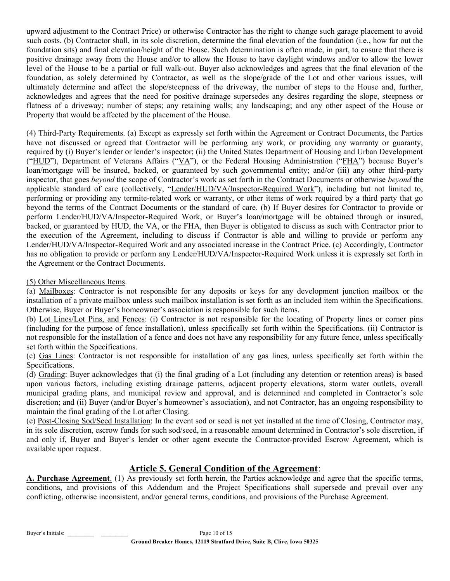upward adjustment to the Contract Price) or otherwise Contractor has the right to change such garage placement to avoid such costs. (b) Contractor shall, in its sole discretion, determine the final elevation of the foundation (i.e., how far out the foundation sits) and final elevation/height of the House. Such determination is often made, in part, to ensure that there is positive drainage away from the House and/or to allow the House to have daylight windows and/or to allow the lower level of the House to be a partial or full walk-out. Buyer also acknowledges and agrees that the final elevation of the foundation, as solely determined by Contractor, as well as the slope/grade of the Lot and other various issues, will ultimately determine and affect the slope/steepness of the driveway, the number of steps to the House and, further, acknowledges and agrees that the need for positive drainage supersedes any desires regarding the slope, steepness or flatness of a driveway; number of steps; any retaining walls; any landscaping; and any other aspect of the House or Property that would be affected by the placement of the House.

(4) Third-Party Requirements. (a) Except as expressly set forth within the Agreement or Contract Documents, the Parties have not discussed or agreed that Contractor will be performing any work, or providing any warranty or guaranty, required by (i) Buyer's lender or lender's inspector; (ii) the United States Department of Housing and Urban Development ("HUD"), Department of Veterans Affairs ("VA"), or the Federal Housing Administration ("FHA") because Buyer's loan/mortgage will be insured, backed, or guaranteed by such governmental entity; and/or (iii) any other third-party inspector, that goes *beyond* the scope of Contractor's work as set forth in the Contract Documents or otherwise *beyond* the applicable standard of care (collectively, "Lender/HUD/VA/Inspector-Required Work"), including but not limited to, performing or providing any termite-related work or warranty, or other items of work required by a third party that go beyond the terms of the Contract Documents or the standard of care. (b) If Buyer desires for Contractor to provide or perform Lender/HUD/VA/Inspector-Required Work, or Buyer's loan/mortgage will be obtained through or insured, backed, or guaranteed by HUD, the VA, or the FHA, then Buyer is obligated to discuss as such with Contractor prior to the execution of the Agreement, including to discuss if Contractor is able and willing to provide or perform any Lender/HUD/VA/Inspector-Required Work and any associated increase in the Contract Price. (c) Accordingly, Contractor has no obligation to provide or perform any Lender/HUD/VA/Inspector-Required Work unless it is expressly set forth in the Agreement or the Contract Documents.

## (5) Other Miscellaneous Items.

(a) Mailboxes: Contractor is not responsible for any deposits or keys for any development junction mailbox or the installation of a private mailbox unless such mailbox installation is set forth as an included item within the Specifications. Otherwise, Buyer or Buyer's homeowner's association is responsible for such items.

(b) Lot Lines/Lot Pins, and Fences: (i) Contractor is not responsible for the locating of Property lines or corner pins (including for the purpose of fence installation), unless specifically set forth within the Specifications. (ii) Contractor is not responsible for the installation of a fence and does not have any responsibility for any future fence, unless specifically set forth within the Specifications.

(c) Gas Lines: Contractor is not responsible for installation of any gas lines, unless specifically set forth within the Specifications.

(d) Grading: Buyer acknowledges that (i) the final grading of a Lot (including any detention or retention areas) is based upon various factors, including existing drainage patterns, adjacent property elevations, storm water outlets, overall municipal grading plans, and municipal review and approval, and is determined and completed in Contractor's sole discretion; and (ii) Buyer (and/or Buyer's homeowner's association), and not Contractor, has an ongoing responsibility to maintain the final grading of the Lot after Closing.

(e) Post-Closing Sod/Seed Installation: In the event sod or seed is not yet installed at the time of Closing, Contractor may, in its sole discretion, escrow funds for such sod/seed, in a reasonable amount determined in Contractor's sole discretion, if and only if, Buyer and Buyer's lender or other agent execute the Contractor-provided Escrow Agreement, which is available upon request.

# Article 5. General Condition of the Agreement:

A. Purchase Agreement. (1) As previously set forth herein, the Parties acknowledge and agree that the specific terms, conditions, and provisions of this Addendum and the Project Specifications shall supersede and prevail over any conflicting, otherwise inconsistent, and/or general terms, conditions, and provisions of the Purchase Agreement.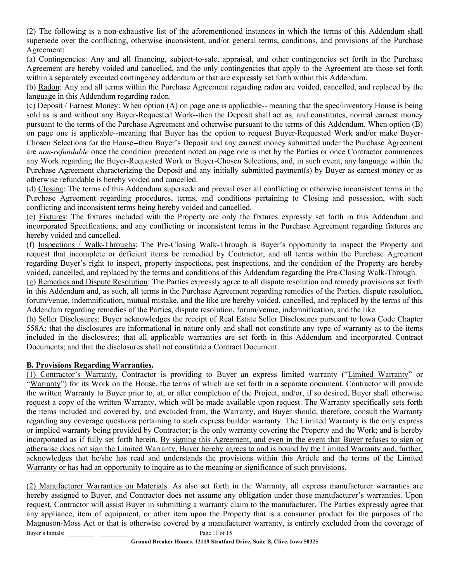(2) The following is a non-exhaustive list of the aforementioned instances in which the terms of this Addendum shall supersede over the conflicting, otherwise inconsistent, and/or general terms, conditions, and provisions of the Purchase Agreement:

(a) Contingencies: Any and all financing, subject-to-sale, appraisal, and other contingencies set forth in the Purchase Agreement are hereby voided and cancelled, and the only contingencies that apply to the Agreement are those set forth within a separately executed contingency addendum or that are expressly set forth within this Addendum.

(b) Radon: Any and all terms within the Purchase Agreement regarding radon are voided, cancelled, and replaced by the language in this Addendum regarding radon.

(c) Deposit / Earnest Money: When option (A) on page one is applicable-- meaning that the spec/inventory House is being sold as is and without any Buyer-Requested Work--then the Deposit shall act as, and constitutes, normal earnest money pursuant to the terms of the Purchase Agreement and otherwise pursuant to the terms of this Addendum. When option (B) on page one is applicable--meaning that Buyer has the option to request Buyer-Requested Work and/or make Buyer-Chosen Selections for the House--then Buyer's Deposit and any earnest money submitted under the Purchase Agreement are non-refundable once the condition precedent noted on page one is met by the Parties or once Contractor commences any Work regarding the Buyer-Requested Work or Buyer-Chosen Selections, and, in such event, any language within the Purchase Agreement characterizing the Deposit and any initially submitted payment(s) by Buyer as earnest money or as otherwise refundable is hereby voided and cancelled.

(d) Closing: The terms of this Addendum supersede and prevail over all conflicting or otherwise inconsistent terms in the Purchase Agreement regarding procedures, terms, and conditions pertaining to Closing and possession, with such conflicting and inconsistent terms being hereby voided and cancelled.

(e) Fixtures: The fixtures included with the Property are only the fixtures expressly set forth in this Addendum and incorporated Specifications, and any conflicting or inconsistent terms in the Purchase Agreement regarding fixtures are hereby voided and cancelled.

(f) Inspections / Walk-Throughs: The Pre-Closing Walk-Through is Buyer's opportunity to inspect the Property and request that incomplete or deficient items be remedied by Contractor, and all terms within the Purchase Agreement regarding Buyer's right to inspect, property inspections, pest inspections, and the condition of the Property are hereby voided, cancelled, and replaced by the terms and conditions of this Addendum regarding the Pre-Closing Walk-Through.

(g) Remedies and Dispute Resolution: The Parties expressly agree to all dispute resolution and remedy provisions set forth in this Addendum and, as such, all terms in the Purchase Agreement regarding remedies of the Parties, dispute resolution, forum/venue, indemnification, mutual mistake, and the like are hereby voided, cancelled, and replaced by the terms of this Addendum regarding remedies of the Parties, dispute resolution, forum/venue, indemnification, and the like.

(h) Seller Disclosures: Buyer acknowledges the receipt of Real Estate Seller Disclosures pursuant to Iowa Code Chapter 558A; that the disclosures are informational in nature only and shall not constitute any type of warranty as to the items included in the disclosures; that all applicable warranties are set forth in this Addendum and incorporated Contract Documents; and that the disclosures shall not constitute a Contract Document.

## B. Provisions Regarding Warranties.

(1) Contractor's Warranty. Contractor is providing to Buyer an express limited warranty ("Limited Warranty" or "Warranty") for its Work on the House, the terms of which are set forth in a separate document. Contractor will provide the written Warranty to Buyer prior to, at, or after completion of the Project, and/or, if so desired, Buyer shall otherwise request a copy of the written Warranty, which will be made available upon request. The Warranty specifically sets forth the items included and covered by, and excluded from, the Warranty, and Buyer should, therefore, consult the Warranty regarding any coverage questions pertaining to such express builder warranty. The Limited Warranty is the only express or implied warranty being provided by Contractor; is the only warranty covering the Property and the Work; and is hereby incorporated as if fully set forth herein. By signing this Agreement, and even in the event that Buyer refuses to sign or otherwise does not sign the Limited Warranty, Buyer hereby agrees to and is bound by the Limited Warranty and, further, acknowledges that he/she has read and understands the provisions within this Article and the terms of the Limited Warranty or has had an opportunity to inquire as to the meaning or significance of such provisions.

Buyer's Initials: Page 11 of 15 (2) Manufacturer Warranties on Materials. As also set forth in the Warranty, all express manufacturer warranties are hereby assigned to Buyer, and Contractor does not assume any obligation under those manufacturer's warranties. Upon request, Contractor will assist Buyer in submitting a warranty claim to the manufacturer. The Parties expressly agree that any appliance, item of equipment, or other item upon the Property that is a consumer product for the purposes of the Magnuson-Moss Act or that is otherwise covered by a manufacturer warranty, is entirely excluded from the coverage of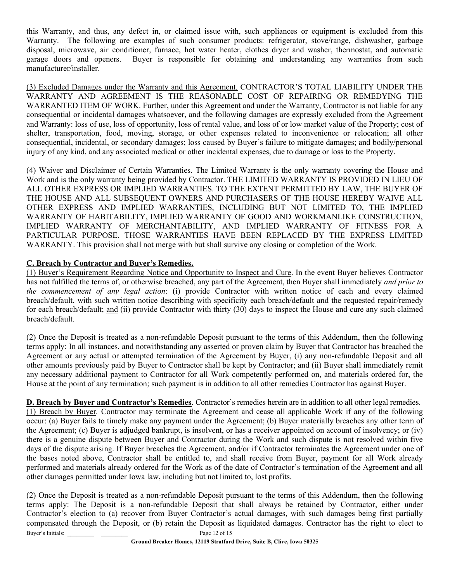this Warranty, and thus, any defect in, or claimed issue with, such appliances or equipment is excluded from this Warranty. The following are examples of such consumer products: refrigerator, stove/range, dishwasher, garbage disposal, microwave, air conditioner, furnace, hot water heater, clothes dryer and washer, thermostat, and automatic garage doors and openers. Buyer is responsible for obtaining and understanding any warranties from such manufacturer/installer.

(3) Excluded Damages under the Warranty and this Agreement. CONTRACTOR'S TOTAL LIABILITY UNDER THE WARRANTY AND AGREEMENT IS THE REASONABLE COST OF REPAIRING OR REMEDYING THE WARRANTED ITEM OF WORK. Further, under this Agreement and under the Warranty, Contractor is not liable for any consequential or incidental damages whatsoever, and the following damages are expressly excluded from the Agreement and Warranty: loss of use, loss of opportunity, loss of rental value, and loss of or low market value of the Property; cost of shelter, transportation, food, moving, storage, or other expenses related to inconvenience or relocation; all other consequential, incidental, or secondary damages; loss caused by Buyer's failure to mitigate damages; and bodily/personal injury of any kind, and any associated medical or other incidental expenses, due to damage or loss to the Property.

(4) Waiver and Disclaimer of Certain Warranties. The Limited Warranty is the only warranty covering the House and Work and is the only warranty being provided by Contractor. THE LIMITED WARRANTY IS PROVIDED IN LIEU OF ALL OTHER EXPRESS OR IMPLIED WARRANTIES. TO THE EXTENT PERMITTED BY LAW, THE BUYER OF THE HOUSE AND ALL SUBSEQUENT OWNERS AND PURCHASERS OF THE HOUSE HEREBY WAIVE ALL OTHER EXPRESS AND IMPLIED WARRANTIES, INCLUDING BUT NOT LIMITED TO, THE IMPLIED WARRANTY OF HABITABILITY, IMPLIED WARRANTY OF GOOD AND WORKMANLIKE CONSTRUCTION, IMPLIED WARRANTY OF MERCHANTABILITY, AND IMPLIED WARRANTY OF FITNESS FOR A PARTICULAR PURPOSE. THOSE WARRANTIES HAVE BEEN REPLACED BY THE EXPRESS LIMITED WARRANTY. This provision shall not merge with but shall survive any closing or completion of the Work.

## C. Breach by Contractor and Buyer's Remedies.

(1) Buyer's Requirement Regarding Notice and Opportunity to Inspect and Cure. In the event Buyer believes Contractor has not fulfilled the terms of, or otherwise breached, any part of the Agreement, then Buyer shall immediately and prior to the commencement of any legal action: (i) provide Contractor with written notice of each and every claimed breach/default, with such written notice describing with specificity each breach/default and the requested repair/remedy for each breach/default; and (ii) provide Contractor with thirty (30) days to inspect the House and cure any such claimed breach/default.

(2) Once the Deposit is treated as a non-refundable Deposit pursuant to the terms of this Addendum, then the following terms apply: In all instances, and notwithstanding any asserted or proven claim by Buyer that Contractor has breached the Agreement or any actual or attempted termination of the Agreement by Buyer, (i) any non-refundable Deposit and all other amounts previously paid by Buyer to Contractor shall be kept by Contractor; and (ii) Buyer shall immediately remit any necessary additional payment to Contractor for all Work competently performed on, and materials ordered for, the House at the point of any termination; such payment is in addition to all other remedies Contractor has against Buyer.

D. Breach by Buyer and Contractor's Remedies. Contractor's remedies herein are in addition to all other legal remedies. (1) Breach by Buyer. Contractor may terminate the Agreement and cease all applicable Work if any of the following occur: (a) Buyer fails to timely make any payment under the Agreement; (b) Buyer materially breaches any other term of the Agreement; (c) Buyer is adjudged bankrupt, is insolvent, or has a receiver appointed on account of insolvency; or (iv) there is a genuine dispute between Buyer and Contractor during the Work and such dispute is not resolved within five days of the dispute arising. If Buyer breaches the Agreement, and/or if Contractor terminates the Agreement under one of the bases noted above, Contractor shall be entitled to, and shall receive from Buyer, payment for all Work already performed and materials already ordered for the Work as of the date of Contractor's termination of the Agreement and all other damages permitted under Iowa law, including but not limited to, lost profits.

Buyer's Initials: Page 12 of 15 (2) Once the Deposit is treated as a non-refundable Deposit pursuant to the terms of this Addendum, then the following terms apply: The Deposit is a non-refundable Deposit that shall always be retained by Contractor, either under Contractor's election to (a) recover from Buyer Contractor's actual damages, with such damages being first partially compensated through the Deposit, or (b) retain the Deposit as liquidated damages. Contractor has the right to elect to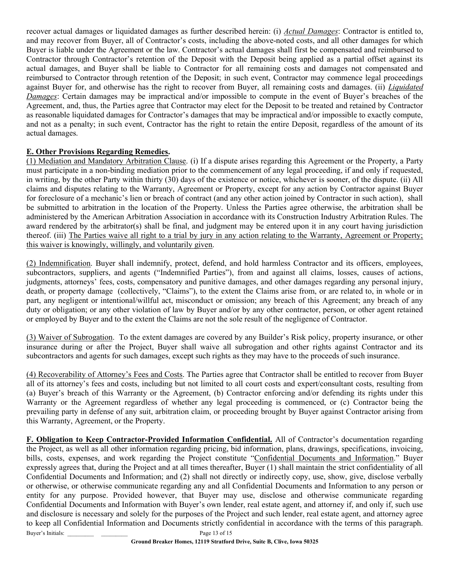recover actual damages or liquidated damages as further described herein: (i) Actual Damages: Contractor is entitled to, and may recover from Buyer, all of Contractor's costs, including the above-noted costs, and all other damages for which Buyer is liable under the Agreement or the law. Contractor's actual damages shall first be compensated and reimbursed to Contractor through Contractor's retention of the Deposit with the Deposit being applied as a partial offset against its actual damages, and Buyer shall be liable to Contractor for all remaining costs and damages not compensated and reimbursed to Contractor through retention of the Deposit; in such event, Contractor may commence legal proceedings against Buyer for, and otherwise has the right to recover from Buyer, all remaining costs and damages. (ii) *Liquidated* Damages: Certain damages may be impractical and/or impossible to compute in the event of Buyer's breaches of the Agreement, and, thus, the Parties agree that Contractor may elect for the Deposit to be treated and retained by Contractor as reasonable liquidated damages for Contractor's damages that may be impractical and/or impossible to exactly compute, and not as a penalty; in such event, Contractor has the right to retain the entire Deposit, regardless of the amount of its actual damages.

## E. Other Provisions Regarding Remedies.

(1) Mediation and Mandatory Arbitration Clause. (i) If a dispute arises regarding this Agreement or the Property, a Party must participate in a non-binding mediation prior to the commencement of any legal proceeding, if and only if requested, in writing, by the other Party within thirty (30) days of the existence or notice, whichever is sooner, of the dispute. (ii) All claims and disputes relating to the Warranty, Agreement or Property, except for any action by Contractor against Buyer for foreclosure of a mechanic's lien or breach of contract (and any other action joined by Contractor in such action), shall be submitted to arbitration in the location of the Property. Unless the Parties agree otherwise, the arbitration shall be administered by the American Arbitration Association in accordance with its Construction Industry Arbitration Rules. The award rendered by the arbitrator(s) shall be final, and judgment may be entered upon it in any court having jurisdiction thereof. (iii) The Parties waive all right to a trial by jury in any action relating to the Warranty, Agreement or Property; this waiver is knowingly, willingly, and voluntarily given.

(2) Indemnification. Buyer shall indemnify, protect, defend, and hold harmless Contractor and its officers, employees, subcontractors, suppliers, and agents ("Indemnified Parties"), from and against all claims, losses, causes of actions, judgments, attorneys' fees, costs, compensatory and punitive damages, and other damages regarding any personal injury, death, or property damage (collectively, "Claims"), to the extent the Claims arise from, or are related to, in whole or in part, any negligent or intentional/willful act, misconduct or omission; any breach of this Agreement; any breach of any duty or obligation; or any other violation of law by Buyer and/or by any other contractor, person, or other agent retained or employed by Buyer and to the extent the Claims are not the sole result of the negligence of Contractor.

(3) Waiver of Subrogation. To the extent damages are covered by any Builder's Risk policy, property insurance, or other insurance during or after the Project, Buyer shall waive all subrogation and other rights against Contractor and its subcontractors and agents for such damages, except such rights as they may have to the proceeds of such insurance.

(4) Recoverability of Attorney's Fees and Costs. The Parties agree that Contractor shall be entitled to recover from Buyer all of its attorney's fees and costs, including but not limited to all court costs and expert/consultant costs, resulting from (a) Buyer's breach of this Warranty or the Agreement, (b) Contractor enforcing and/or defending its rights under this Warranty or the Agreement regardless of whether any legal proceeding is commenced, or (c) Contractor being the prevailing party in defense of any suit, arbitration claim, or proceeding brought by Buyer against Contractor arising from this Warranty, Agreement, or the Property.

Buyer's Initials: Page 13 of 15 F. Obligation to Keep Contractor-Provided Information Confidential. All of Contractor's documentation regarding the Project, as well as all other information regarding pricing, bid information, plans, drawings, specifications, invoicing, bills, costs, expenses, and work regarding the Project constitute "Confidential Documents and Information." Buyer expressly agrees that, during the Project and at all times thereafter, Buyer (1) shall maintain the strict confidentiality of all Confidential Documents and Information; and (2) shall not directly or indirectly copy, use, show, give, disclose verbally or otherwise, or otherwise communicate regarding any and all Confidential Documents and Information to any person or entity for any purpose. Provided however, that Buyer may use, disclose and otherwise communicate regarding Confidential Documents and Information with Buyer's own lender, real estate agent, and attorney if, and only if, such use and disclosure is necessary and solely for the purposes of the Project and such lender, real estate agent, and attorney agree to keep all Confidential Information and Documents strictly confidential in accordance with the terms of this paragraph.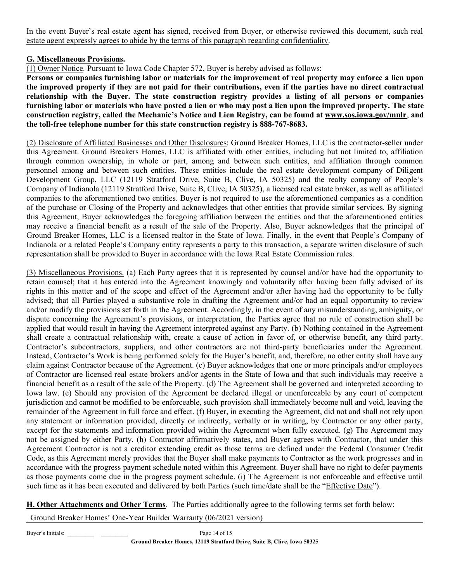In the event Buyer's real estate agent has signed, received from Buyer, or otherwise reviewed this document, such real estate agent expressly agrees to abide by the terms of this paragraph regarding confidentiality.

### G. Miscellaneous Provisions.

(1) Owner Notice. Pursuant to Iowa Code Chapter 572, Buyer is hereby advised as follows:

Persons or companies furnishing labor or materials for the improvement of real property may enforce a lien upon the improved property if they are not paid for their contributions, even if the parties have no direct contractual relationship with the Buyer. The state construction registry provides a listing of all persons or companies furnishing labor or materials who have posted a lien or who may post a lien upon the improved property. The state construction registry, called the Mechanic's Notice and Lien Registry, can be found at www.sos.iowa.gov/mnlr, and the toll-free telephone number for this state construction registry is 888-767-8683.

(2) Disclosure of Affiliated Businesses and Other Disclosures: Ground Breaker Homes, LLC is the contractor-seller under this Agreement. Ground Breakers Homes, LLC is affiliated with other entities, including but not limited to, affiliation through common ownership, in whole or part, among and between such entities, and affiliation through common personnel among and between such entities. These entities include the real estate development company of Diligent Development Group, LLC (12119 Stratford Drive, Suite B, Clive, IA 50325) and the realty company of People's Company of Indianola (12119 Stratford Drive, Suite B, Clive, IA 50325), a licensed real estate broker, as well as affiliated companies to the aforementioned two entities. Buyer is not required to use the aforementioned companies as a condition of the purchase or Closing of the Property and acknowledges that other entities that provide similar services. By signing this Agreement, Buyer acknowledges the foregoing affiliation between the entities and that the aforementioned entities may receive a financial benefit as a result of the sale of the Property. Also, Buyer acknowledges that the principal of Ground Breaker Homes, LLC is a licensed realtor in the State of Iowa. Finally, in the event that People's Company of Indianola or a related People's Company entity represents a party to this transaction, a separate written disclosure of such representation shall be provided to Buyer in accordance with the Iowa Real Estate Commission rules.

(3) Miscellaneous Provisions. (a) Each Party agrees that it is represented by counsel and/or have had the opportunity to retain counsel; that it has entered into the Agreement knowingly and voluntarily after having been fully advised of its rights in this matter and of the scope and effect of the Agreement and/or after having had the opportunity to be fully advised; that all Parties played a substantive role in drafting the Agreement and/or had an equal opportunity to review and/or modify the provisions set forth in the Agreement. Accordingly, in the event of any misunderstanding, ambiguity, or dispute concerning the Agreement's provisions, or interpretation, the Parties agree that no rule of construction shall be applied that would result in having the Agreement interpreted against any Party. (b) Nothing contained in the Agreement shall create a contractual relationship with, create a cause of action in favor of, or otherwise benefit, any third party. Contractor's subcontractors, suppliers, and other contractors are not third-party beneficiaries under the Agreement. Instead, Contractor's Work is being performed solely for the Buyer's benefit, and, therefore, no other entity shall have any claim against Contractor because of the Agreement. (c) Buyer acknowledges that one or more principals and/or employees of Contractor are licensed real estate brokers and/or agents in the State of Iowa and that such individuals may receive a financial benefit as a result of the sale of the Property. (d) The Agreement shall be governed and interpreted according to Iowa law. (e) Should any provision of the Agreement be declared illegal or unenforceable by any court of competent jurisdiction and cannot be modified to be enforceable, such provision shall immediately become null and void, leaving the remainder of the Agreement in full force and effect. (f) Buyer, in executing the Agreement, did not and shall not rely upon any statement or information provided, directly or indirectly, verbally or in writing, by Contractor or any other party, except for the statements and information provided within the Agreement when fully executed. (g) The Agreement may not be assigned by either Party. (h) Contractor affirmatively states, and Buyer agrees with Contractor, that under this Agreement Contractor is not a creditor extending credit as those terms are defined under the Federal Consumer Credit Code, as this Agreement merely provides that the Buyer shall make payments to Contractor as the work progresses and in accordance with the progress payment schedule noted within this Agreement. Buyer shall have no right to defer payments as those payments come due in the progress payment schedule. (i) The Agreement is not enforceable and effective until such time as it has been executed and delivered by both Parties (such time/date shall be the "Effective Date").

H. Other Attachments and Other Terms. The Parties additionally agree to the following terms set forth below:

Ground Breaker Homes' One-Year Builder Warranty (06/2021 version)